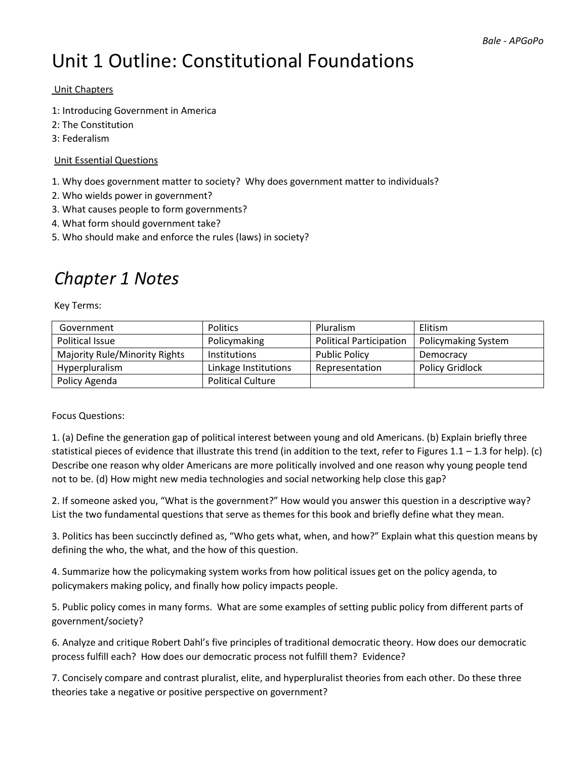# Unit 1 Outline: Constitutional Foundations

### Unit Chapters

- 1: Introducing Government in America
- 2: The Constitution
- 3: Federalism

### Unit Essential Questions

- 1. Why does government matter to society? Why does government matter to individuals?
- 2. Who wields power in government?
- 3. What causes people to form governments?
- 4. What form should government take?
- 5. Who should make and enforce the rules (laws) in society?

### *Chapter 1 Notes*

Key Terms:

| Government                           | <b>Politics</b>          | <b>Pluralism</b>               | Elitism                    |
|--------------------------------------|--------------------------|--------------------------------|----------------------------|
| Political Issue                      | Policymaking             | <b>Political Participation</b> | <b>Policymaking System</b> |
| <b>Majority Rule/Minority Rights</b> | <b>Institutions</b>      | <b>Public Policy</b>           | Democracy                  |
| Hyperpluralism                       | Linkage Institutions     | Representation                 | <b>Policy Gridlock</b>     |
| Policy Agenda                        | <b>Political Culture</b> |                                |                            |

#### Focus Questions:

1. (a) Define the generation gap of political interest between young and old Americans. (b) Explain briefly three statistical pieces of evidence that illustrate this trend (in addition to the text, refer to Figures 1.1 – 1.3 for help). (c) Describe one reason why older Americans are more politically involved and one reason why young people tend not to be. (d) How might new media technologies and social networking help close this gap?

2. If someone asked you, "What is the government?" How would you answer this question in a descriptive way? List the two fundamental questions that serve as themes for this book and briefly define what they mean.

3. Politics has been succinctly defined as, "Who gets what, when, and how?" Explain what this question means by defining the who, the what, and the how of this question.

4. Summarize how the policymaking system works from how political issues get on the policy agenda, to policymakers making policy, and finally how policy impacts people.

5. Public policy comes in many forms. What are some examples of setting public policy from different parts of government/society?

6. Analyze and critique Robert Dahl's five principles of traditional democratic theory. How does our democratic process fulfill each? How does our democratic process not fulfill them? Evidence?

7. Concisely compare and contrast pluralist, elite, and hyperpluralist theories from each other. Do these three theories take a negative or positive perspective on government?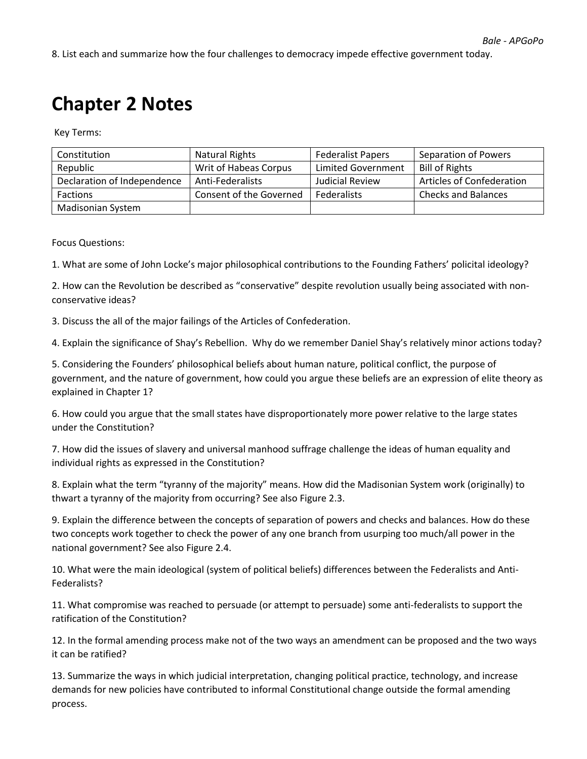8. List each and summarize how the four challenges to democracy impede effective government today.

# **Chapter 2 Notes**

Key Terms:

| Constitution                | Natural Rights          | <b>Federalist Papers</b> | Separation of Powers             |
|-----------------------------|-------------------------|--------------------------|----------------------------------|
| Republic                    | Writ of Habeas Corpus   | Limited Government       | <b>Bill of Rights</b>            |
| Declaration of Independence | Anti-Federalists        | Judicial Review          | <b>Articles of Confederation</b> |
| <b>Factions</b>             | Consent of the Governed | <b>Federalists</b>       | <b>Checks and Balances</b>       |
| Madisonian System           |                         |                          |                                  |

Focus Questions:

1. What are some of John Locke's major philosophical contributions to the Founding Fathers' policital ideology?

2. How can the Revolution be described as "conservative" despite revolution usually being associated with nonconservative ideas?

3. Discuss the all of the major failings of the Articles of Confederation.

4. Explain the significance of Shay's Rebellion. Why do we remember Daniel Shay's relatively minor actions today?

5. Considering the Founders' philosophical beliefs about human nature, political conflict, the purpose of government, and the nature of government, how could you argue these beliefs are an expression of elite theory as explained in Chapter 1?

6. How could you argue that the small states have disproportionately more power relative to the large states under the Constitution?

7. How did the issues of slavery and universal manhood suffrage challenge the ideas of human equality and individual rights as expressed in the Constitution?

8. Explain what the term "tyranny of the majority" means. How did the Madisonian System work (originally) to thwart a tyranny of the majority from occurring? See also Figure 2.3.

9. Explain the difference between the concepts of separation of powers and checks and balances. How do these two concepts work together to check the power of any one branch from usurping too much/all power in the national government? See also Figure 2.4.

10. What were the main ideological (system of political beliefs) differences between the Federalists and Anti-Federalists?

11. What compromise was reached to persuade (or attempt to persuade) some anti-federalists to support the ratification of the Constitution?

12. In the formal amending process make not of the two ways an amendment can be proposed and the two ways it can be ratified?

13. Summarize the ways in which judicial interpretation, changing political practice, technology, and increase demands for new policies have contributed to informal Constitutional change outside the formal amending process.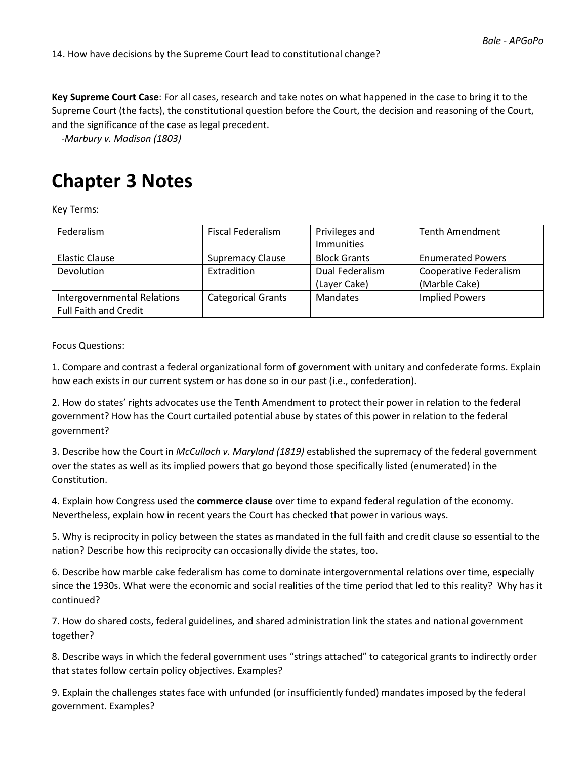**Key Supreme Court Case**: For all cases, research and take notes on what happened in the case to bring it to the Supreme Court (the facts), the constitutional question before the Court, the decision and reasoning of the Court, and the significance of the case as legal precedent.

-*Marbury v. Madison (1803)*

## **Chapter 3 Notes**

Key Terms:

| Federalism                   | <b>Fiscal Federalism</b>  | Privileges and      | <b>Tenth Amendment</b>        |
|------------------------------|---------------------------|---------------------|-------------------------------|
|                              |                           | <b>Immunities</b>   |                               |
| Elastic Clause               | <b>Supremacy Clause</b>   | <b>Block Grants</b> | <b>Enumerated Powers</b>      |
| Devolution                   | Extradition               | Dual Federalism     | <b>Cooperative Federalism</b> |
|                              |                           | (Layer Cake)        | (Marble Cake)                 |
| Intergovernmental Relations  | <b>Categorical Grants</b> | Mandates            | <b>Implied Powers</b>         |
| <b>Full Faith and Credit</b> |                           |                     |                               |

Focus Questions:

1. Compare and contrast a federal organizational form of government with unitary and confederate forms. Explain how each exists in our current system or has done so in our past (i.e., confederation).

2. How do states' rights advocates use the Tenth Amendment to protect their power in relation to the federal government? How has the Court curtailed potential abuse by states of this power in relation to the federal government?

3. Describe how the Court in *McCulloch v. Maryland (1819)* established the supremacy of the federal government over the states as well as its implied powers that go beyond those specifically listed (enumerated) in the Constitution.

4. Explain how Congress used the **commerce clause** over time to expand federal regulation of the economy. Nevertheless, explain how in recent years the Court has checked that power in various ways.

5. Why is reciprocity in policy between the states as mandated in the full faith and credit clause so essential to the nation? Describe how this reciprocity can occasionally divide the states, too.

6. Describe how marble cake federalism has come to dominate intergovernmental relations over time, especially since the 1930s. What were the economic and social realities of the time period that led to this reality? Why has it continued?

7. How do shared costs, federal guidelines, and shared administration link the states and national government together?

8. Describe ways in which the federal government uses "strings attached" to categorical grants to indirectly order that states follow certain policy objectives. Examples?

9. Explain the challenges states face with unfunded (or insufficiently funded) mandates imposed by the federal government. Examples?